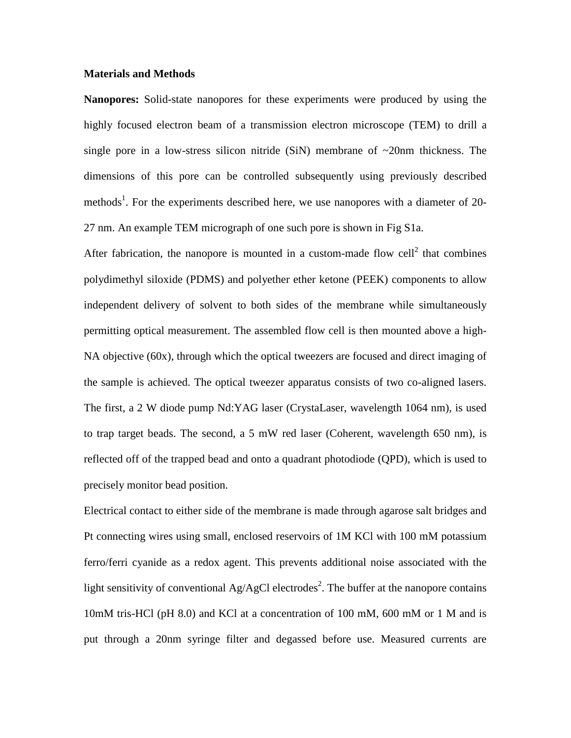## **Materials and Methods**

**Nanopores:** Solid-state nanopores for these experiments were produced by using the highly focused electron beam of a transmission electron microscope (TEM) to drill a single pore in a low-stress silicon nitride (SiN) membrane of  $\sim$ 20nm thickness. The dimensions of this pore can be controlled subsequently using previously described methods<sup>1</sup>. For the experiments described here, we use nanopores with a diameter of 20-27 nm. An example TEM micrograph of one such pore is shown in Fig S1a.

After fabrication, the nanopore is mounted in a custom-made flow cell<sup>2</sup> that combines polydimethyl siloxide (PDMS) and polyether ether ketone (PEEK) components to allow independent delivery of solvent to both sides of the membrane while simultaneously permitting optical measurement. The assembled flow cell is then mounted above a high-NA objective (60x), through which the optical tweezers are focused and direct imaging of the sample is achieved. The optical tweezer apparatus consists of two co-aligned lasers. The first, a 2 W diode pump Nd:YAG laser (CrystaLaser, wavelength 1064 nm), is used to trap target beads. The second, a 5 mW red laser (Coherent, wavelength 650 nm), is reflected off of the trapped bead and onto a quadrant photodiode (QPD), which is used to precisely monitor bead position.

Electrical contact to either side of the membrane is made through agarose salt bridges and Pt connecting wires using small, enclosed reservoirs of 1M KCl with 100 mM potassium ferro/ferri cyanide as a redox agent. This prevents additional noise associated with the light sensitivity of conventional Ag/AgCl electrodes<sup>2</sup>. The buffer at the nanopore contains 10mM tris-HCl (pH 8.0) and KCl at a concentration of 100 mM, 600 mM or 1 M and is put through a 20nm syringe filter and degassed before use. Measured currents are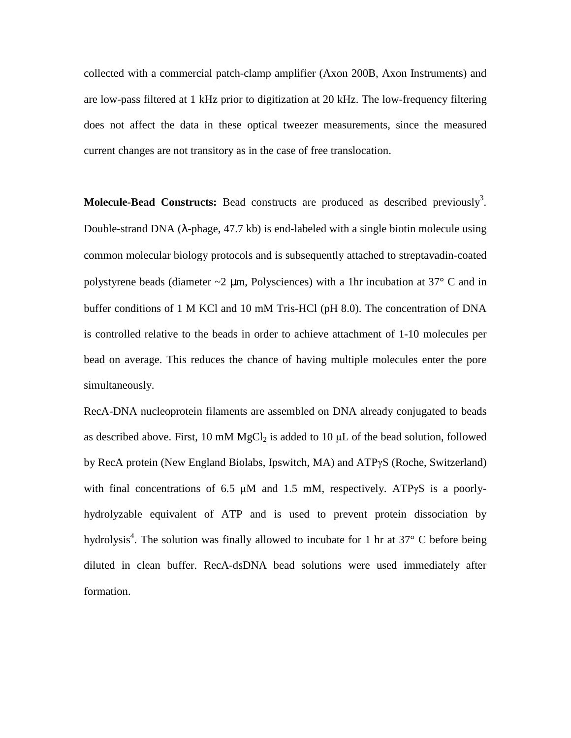collected with a commercial patch-clamp amplifier (Axon 200B, Axon Instruments) and are low-pass filtered at 1 kHz prior to digitization at 20 kHz. The low-frequency filtering does not affect the data in these optical tweezer measurements, since the measured current changes are not transitory as in the case of free translocation.

**Molecule-Bead Constructs:** Bead constructs are produced as described previously<sup>3</sup>. Double-strand DNA ( $\lambda$ -phage, 47.7 kb) is end-labeled with a single biotin molecule using common molecular biology protocols and is subsequently attached to streptavadin-coated polystyrene beads (diameter  $\sim$ 2 µm, Polysciences) with a 1hr incubation at 37 $\degree$  C and in buffer conditions of 1 M KCl and 10 mM Tris-HCl (pH 8.0). The concentration of DNA is controlled relative to the beads in order to achieve attachment of 1-10 molecules per bead on average. This reduces the chance of having multiple molecules enter the pore simultaneously.

RecA-DNA nucleoprotein filaments are assembled on DNA already conjugated to beads as described above. First, 10 mM  $MgCl<sub>2</sub>$  is added to 10  $\mu$ L of the bead solution, followed by RecA protein (New England Biolabs, Ipswitch, MA) and ATPγS (Roche, Switzerland) with final concentrations of 6.5  $\mu$ M and 1.5 mM, respectively. ATP $\gamma$ S is a poorlyhydrolyzable equivalent of ATP and is used to prevent protein dissociation by hydrolysis<sup>4</sup>. The solution was finally allowed to incubate for 1 hr at 37 $\degree$  C before being diluted in clean buffer. RecA-dsDNA bead solutions were used immediately after formation.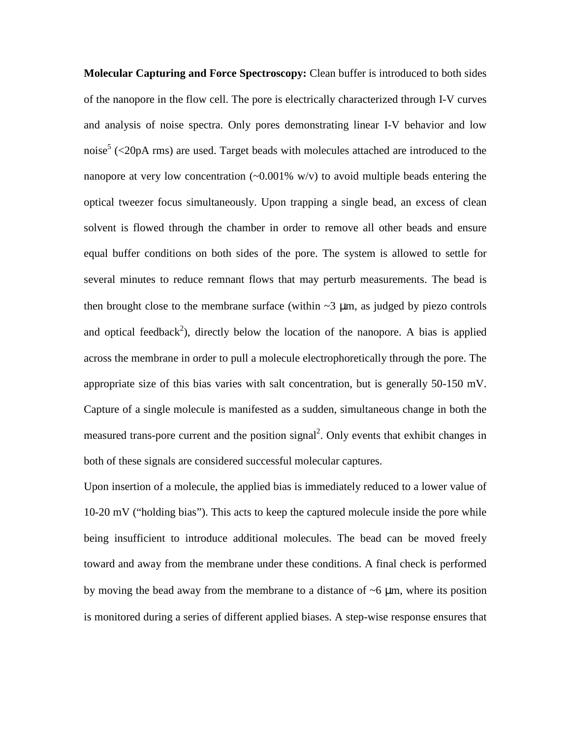**Molecular Capturing and Force Spectroscopy:** Clean buffer is introduced to both sides of the nanopore in the flow cell. The pore is electrically characterized through I-V curves and analysis of noise spectra. Only pores demonstrating linear I-V behavior and low noise<sup>5</sup> (<20pA rms) are used. Target beads with molecules attached are introduced to the nanopore at very low concentration  $\left(\sim 0.001\%$  w/v) to avoid multiple beads entering the optical tweezer focus simultaneously. Upon trapping a single bead, an excess of clean solvent is flowed through the chamber in order to remove all other beads and ensure equal buffer conditions on both sides of the pore. The system is allowed to settle for several minutes to reduce remnant flows that may perturb measurements. The bead is then brought close to the membrane surface (within  $\sim$ 3  $\mu$ m, as judged by piezo controls and optical feedback<sup>2</sup>), directly below the location of the nanopore. A bias is applied across the membrane in order to pull a molecule electrophoretically through the pore. The appropriate size of this bias varies with salt concentration, but is generally 50-150 mV. Capture of a single molecule is manifested as a sudden, simultaneous change in both the measured trans-pore current and the position signal<sup>2</sup>. Only events that exhibit changes in both of these signals are considered successful molecular captures.

Upon insertion of a molecule, the applied bias is immediately reduced to a lower value of 10-20 mV ("holding bias"). This acts to keep the captured molecule inside the pore while being insufficient to introduce additional molecules. The bead can be moved freely toward and away from the membrane under these conditions. A final check is performed by moving the bead away from the membrane to a distance of  $\sim$ 6  $\mu$ m, where its position is monitored during a series of different applied biases. A step-wise response ensures that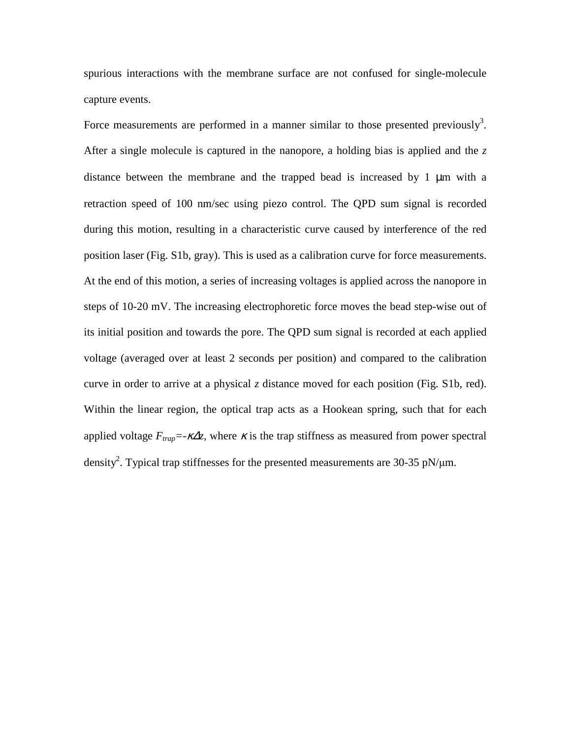spurious interactions with the membrane surface are not confused for single-molecule capture events.

Force measurements are performed in a manner similar to those presented previously<sup>3</sup>. After a single molecule is captured in the nanopore, a holding bias is applied and the *z*  distance between the membrane and the trapped bead is increased by 1 µm with a retraction speed of 100 nm/sec using piezo control. The QPD sum signal is recorded during this motion, resulting in a characteristic curve caused by interference of the red position laser (Fig. S1b, gray). This is used as a calibration curve for force measurements. At the end of this motion, a series of increasing voltages is applied across the nanopore in steps of 10-20 mV. The increasing electrophoretic force moves the bead step-wise out of its initial position and towards the pore. The QPD sum signal is recorded at each applied voltage (averaged over at least 2 seconds per position) and compared to the calibration curve in order to arrive at a physical *z* distance moved for each position (Fig. S1b, red). Within the linear region, the optical trap acts as a Hookean spring, such that for each applied voltage  $F_{trap} = -\kappa \Delta z$ , where  $\kappa$  is the trap stiffness as measured from power spectral density<sup>2</sup>. Typical trap stiffnesses for the presented measurements are 30-35 pN/ $\mu$ m.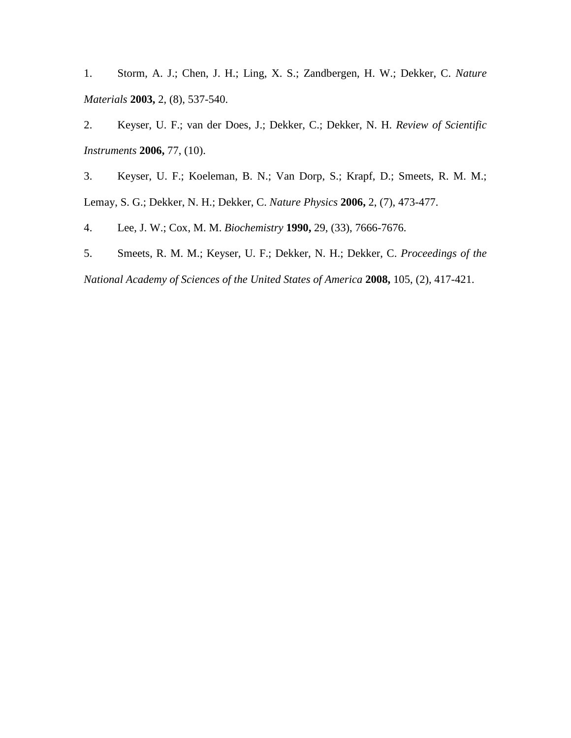1. Storm, A. J.; Chen, J. H.; Ling, X. S.; Zandbergen, H. W.; Dekker, C. *Nature Materials* **2003,** 2, (8), 537-540.

2. Keyser, U. F.; van der Does, J.; Dekker, C.; Dekker, N. H. *Review of Scientific Instruments* **2006,** 77, (10).

3. Keyser, U. F.; Koeleman, B. N.; Van Dorp, S.; Krapf, D.; Smeets, R. M. M.; Lemay, S. G.; Dekker, N. H.; Dekker, C. *Nature Physics* **2006,** 2, (7), 473-477.

4. Lee, J. W.; Cox, M. M. *Biochemistry* **1990,** 29, (33), 7666-7676.

5. Smeets, R. M. M.; Keyser, U. F.; Dekker, N. H.; Dekker, C. *Proceedings of the* 

*National Academy of Sciences of the United States of America* **2008,** 105, (2), 417-421.